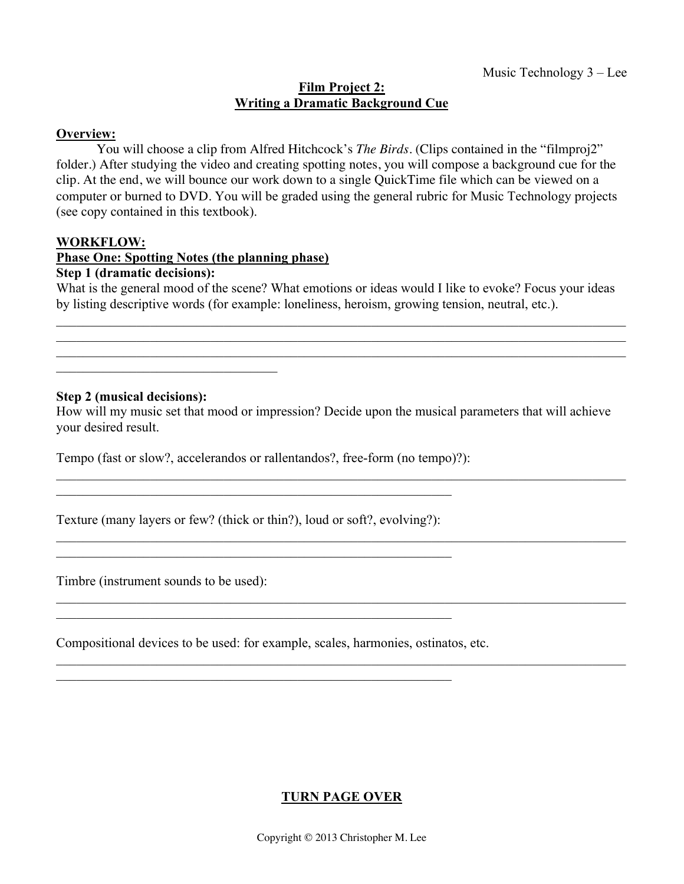### **Film Project 2: Writing a Dramatic Background Cue**

## **Overview:**

You will choose a clip from Alfred Hitchcock's *The Birds*. (Clips contained in the "filmproj2" folder.) After studying the video and creating spotting notes, you will compose a background cue for the clip. At the end, we will bounce our work down to a single QuickTime file which can be viewed on a computer or burned to DVD. You will be graded using the general rubric for Music Technology projects (see copy contained in this textbook).

### **WORKFLOW:**

### **Phase One: Spotting Notes (the planning phase)**

### **Step 1 (dramatic decisions):**

What is the general mood of the scene? What emotions or ideas would I like to evoke? Focus your ideas by listing descriptive words (for example: loneliness, heroism, growing tension, neutral, etc.).

 $\_$  , and the contribution of the contribution of the contribution of the contribution of  $\mathcal{L}_\text{max}$  $\_$  , and the contribution of the contribution of the contribution of the contribution of  $\mathcal{L}_\text{max}$  $\_$  , and the contribution of the contribution of the contribution of the contribution of  $\mathcal{L}_\text{max}$ 

### **Step 2 (musical decisions):**

\_\_\_\_\_\_\_\_\_\_\_\_\_\_\_\_\_\_\_\_\_\_\_\_\_\_\_\_\_\_\_\_\_

How will my music set that mood or impression? Decide upon the musical parameters that will achieve your desired result.

 $\_$  , and the contribution of the contribution of the contribution of the contribution of  $\mathcal{L}_\text{max}$ 

 $\_$  , and the contribution of the contribution of the contribution of the contribution of  $\mathcal{L}_\text{max}$ 

 $\mathcal{L}_\mathcal{L} = \{ \mathcal{L}_\mathcal{L} = \{ \mathcal{L}_\mathcal{L} = \{ \mathcal{L}_\mathcal{L} = \{ \mathcal{L}_\mathcal{L} = \{ \mathcal{L}_\mathcal{L} = \{ \mathcal{L}_\mathcal{L} = \{ \mathcal{L}_\mathcal{L} = \{ \mathcal{L}_\mathcal{L} = \{ \mathcal{L}_\mathcal{L} = \{ \mathcal{L}_\mathcal{L} = \{ \mathcal{L}_\mathcal{L} = \{ \mathcal{L}_\mathcal{L} = \{ \mathcal{L}_\mathcal{L} = \{ \mathcal{L}_\mathcal{$ 

 $\_$  , and the contribution of the contribution of the contribution of the contribution of  $\mathcal{L}_\text{max}$ 

Tempo (fast or slow?, accelerandos or rallentandos?, free-form (no tempo)?):

Texture (many layers or few? (thick or thin?), loud or soft?, evolving?):

 $\mathcal{L}_\text{max}$  and the contract of the contract of the contract of the contract of the contract of the contract of

 $\mathcal{L}_\text{max}$  and the contract of the contract of the contract of the contract of the contract of the contract of

 $\mathcal{L}_\text{max}$  , and the contribution of the contribution of the contribution of the contribution of the contribution of the contribution of the contribution of the contribution of the contribution of the contribution of t

 $\mathcal{L}_\text{max}$  , and the contribution of the contribution of the contribution of the contribution of the contribution of the contribution of the contribution of the contribution of the contribution of the contribution of t

Timbre (instrument sounds to be used):

Compositional devices to be used: for example, scales, harmonies, ostinatos, etc.

# **TURN PAGE OVER**